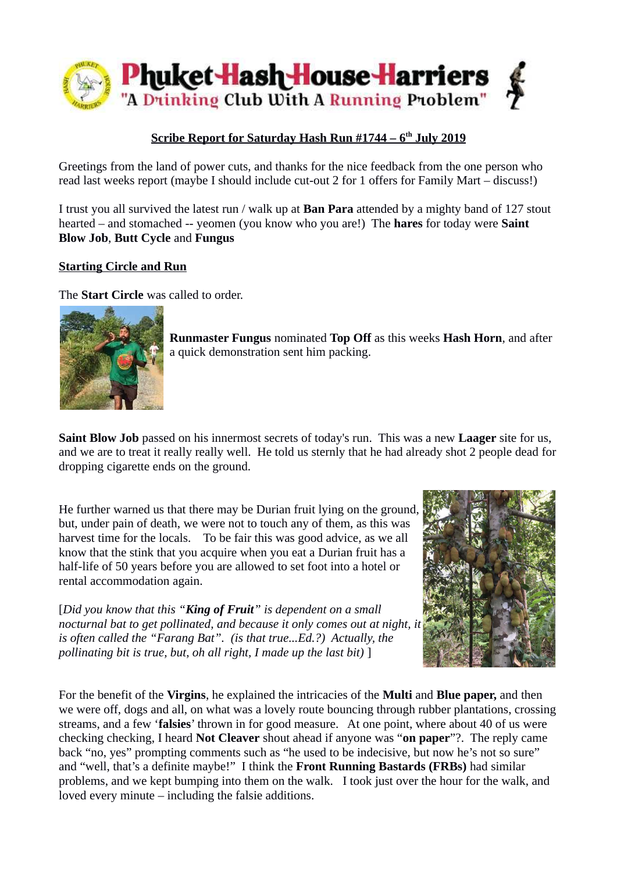

# **Scribe Report for Saturday Hash Run #1744 – 6th July 2019**

Greetings from the land of power cuts, and thanks for the nice feedback from the one person who read last weeks report (maybe I should include cut-out 2 for 1 offers for Family Mart – discuss!)

I trust you all survived the latest run / walk up at **Ban Para** attended by a mighty band of 127 stout hearted – and stomached -- yeomen (you know who you are!) The **hares** for today were **Saint Blow Job**, **Butt Cycle** and **Fungus**

## **Starting Circle and Run**

The **Start Circle** was called to order.



**Runmaster Fungus** nominated **Top Off** as this weeks **Hash Horn**, and after a quick demonstration sent him packing.

**Saint Blow Job** passed on his innermost secrets of today's run. This was a new **Laager** site for us, and we are to treat it really really well. He told us sternly that he had already shot 2 people dead for dropping cigarette ends on the ground.

He further warned us that there may be Durian fruit lying on the ground, but, under pain of death, we were not to touch any of them, as this was harvest time for the locals. To be fair this was good advice, as we all know that the stink that you acquire when you eat a Durian fruit has a half-life of 50 years before you are allowed to set foot into a hotel or rental accommodation again.

[*Did you know that this "King of Fruit" is dependent on a small nocturnal bat to get pollinated, and because it only comes out at night, it is often called the "Farang Bat". (is that true...Ed.?) Actually, the pollinating bit is true, but, oh all right, I made up the last bit)* ]



For the benefit of the **Virgins**, he explained the intricacies of the **Multi** and **Blue paper,** and then we were off, dogs and all, on what was a lovely route bouncing through rubber plantations, crossing streams, and a few '**falsies**' thrown in for good measure. At one point, where about 40 of us were checking checking, I heard **Not Cleaver** shout ahead if anyone was "**on paper**"?. The reply came back "no, yes" prompting comments such as "he used to be indecisive, but now he's not so sure" and "well, that's a definite maybe!" I think the **Front Running Bastards (FRBs)** had similar problems, and we kept bumping into them on the walk. I took just over the hour for the walk, and loved every minute – including the falsie additions.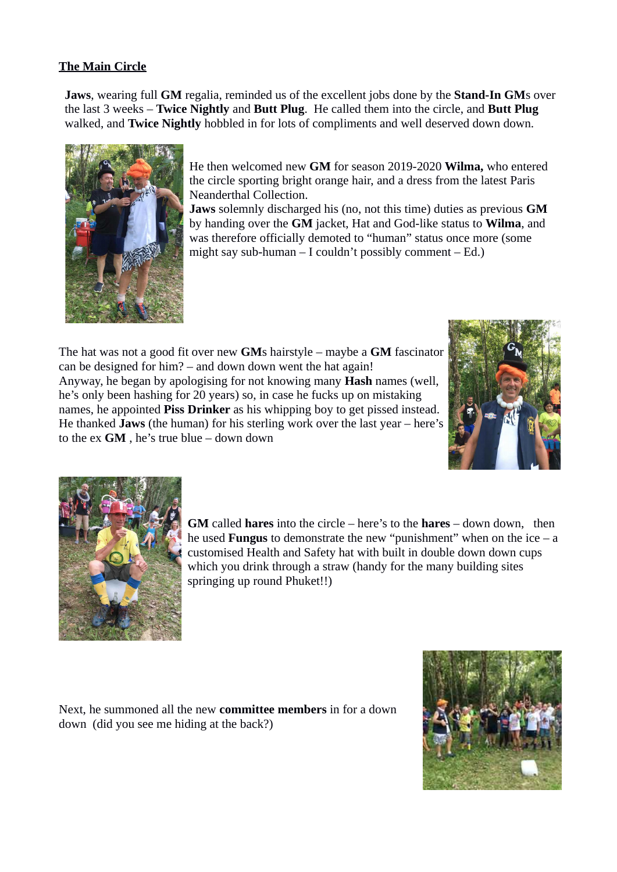## **The Main Circle**

**Jaws**, wearing full **GM** regalia, reminded us of the excellent jobs done by the **Stand-In GM**s over the last 3 weeks – **Twice Nightly** and **Butt Plug**. He called them into the circle, and **Butt Plug** walked, and **Twice Nightly** hobbled in for lots of compliments and well deserved down down.



He then welcomed new **GM** for season 2019-2020 **Wilma,** who entered the circle sporting bright orange hair, and a dress from the latest Paris Neanderthal Collection.

**Jaws** solemnly discharged his (no, not this time) duties as previous **GM** by handing over the **GM** jacket, Hat and God-like status to **Wilma**, and was therefore officially demoted to "human" status once more (some might say sub-human  $- I$  couldn't possibly comment  $- Ed$ .)

The hat was not a good fit over new **GM**s hairstyle – maybe a **GM** fascinator can be designed for him? – and down down went the hat again! Anyway, he began by apologising for not knowing many **Hash** names (well, he's only been hashing for 20 years) so, in case he fucks up on mistaking names, he appointed **Piss Drinker** as his whipping boy to get pissed instead. He thanked **Jaws** (the human) for his sterling work over the last year – here's to the ex **GM** , he's true blue – down down





**GM** called **hares** into the circle – here's to the **hares** – down down, then he used **Fungus** to demonstrate the new "punishment" when on the ice – a customised Health and Safety hat with built in double down down cups which you drink through a straw (handy for the many building sites springing up round Phuket!!)

Next, he summoned all the new **committee members** in for a down down (did you see me hiding at the back?)

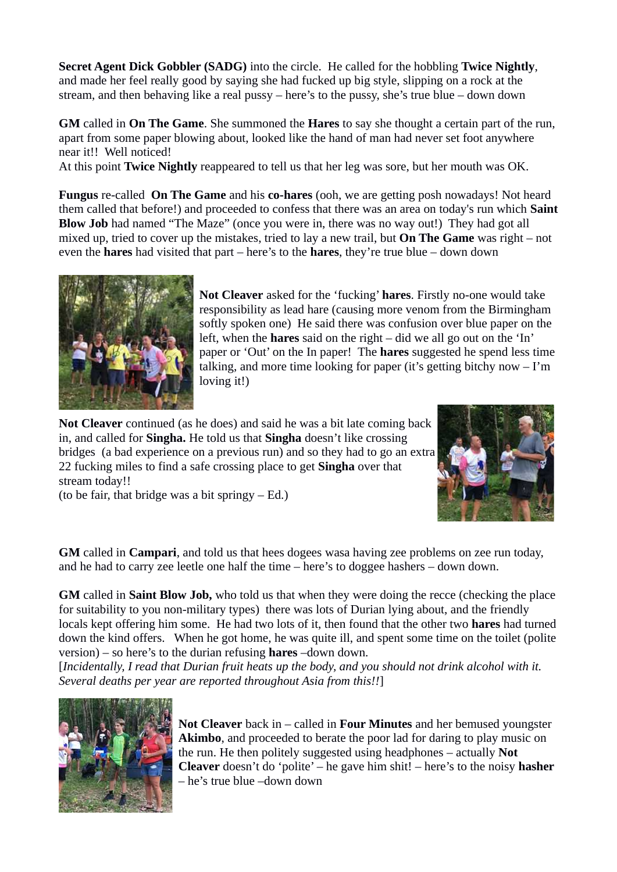**Secret Agent Dick Gobbler (SADG)** into the circle. He called for the hobbling **Twice Nightly**, and made her feel really good by saying she had fucked up big style, slipping on a rock at the stream, and then behaving like a real pussy – here's to the pussy, she's true blue – down down

**GM** called in **On The Game**. She summoned the **Hares** to say she thought a certain part of the run, apart from some paper blowing about, looked like the hand of man had never set foot anywhere near it!! Well noticed!

At this point **Twice Nightly** reappeared to tell us that her leg was sore, but her mouth was OK.

**Fungus** re-called **On The Game** and his **co-hares** (ooh, we are getting posh nowadays! Not heard them called that before!) and proceeded to confess that there was an area on today's run which **Saint Blow Job** had named "The Maze" (once you were in, there was no way out!) They had got all mixed up, tried to cover up the mistakes, tried to lay a new trail, but **On The Game** was right – not even the **hares** had visited that part – here's to the **hares**, they're true blue – down down



**Not Cleaver** asked for the 'fucking' **hares**. Firstly no-one would take responsibility as lead hare (causing more venom from the Birmingham softly spoken one) He said there was confusion over blue paper on the left, when the **hares** said on the right – did we all go out on the 'In' paper or 'Out' on the In paper! The **hares** suggested he spend less time talking, and more time looking for paper (it's getting bitchy now  $-1'm$ ) loving it!)

**Not Cleaver** continued (as he does) and said he was a bit late coming back in, and called for **Singha.** He told us that **Singha** doesn't like crossing bridges (a bad experience on a previous run) and so they had to go an extra 22 fucking miles to find a safe crossing place to get **Singha** over that stream today!!



(to be fair, that bridge was a bit springy  $-$  Ed.)

**GM** called in **Campari**, and told us that hees dogees wasa having zee problems on zee run today, and he had to carry zee leetle one half the time – here's to doggee hashers – down down.

**GM** called in **Saint Blow Job,** who told us that when they were doing the recce (checking the place for suitability to you non-military types) there was lots of Durian lying about, and the friendly locals kept offering him some. He had two lots of it, then found that the other two **hares** had turned down the kind offers. When he got home, he was quite ill, and spent some time on the toilet (polite version) – so here's to the durian refusing **hares** –down down.

[*Incidentally, I read that Durian fruit heats up the body, and you should not drink alcohol with it. Several deaths per year are reported throughout Asia from this!!*]



**Not Cleaver** back in – called in **Four Minutes** and her bemused youngster **Akimbo**, and proceeded to berate the poor lad for daring to play music on the run. He then politely suggested using headphones – actually **Not Cleaver** doesn't do 'polite' – he gave him shit! – here's to the noisy **hasher**  – he's true blue –down down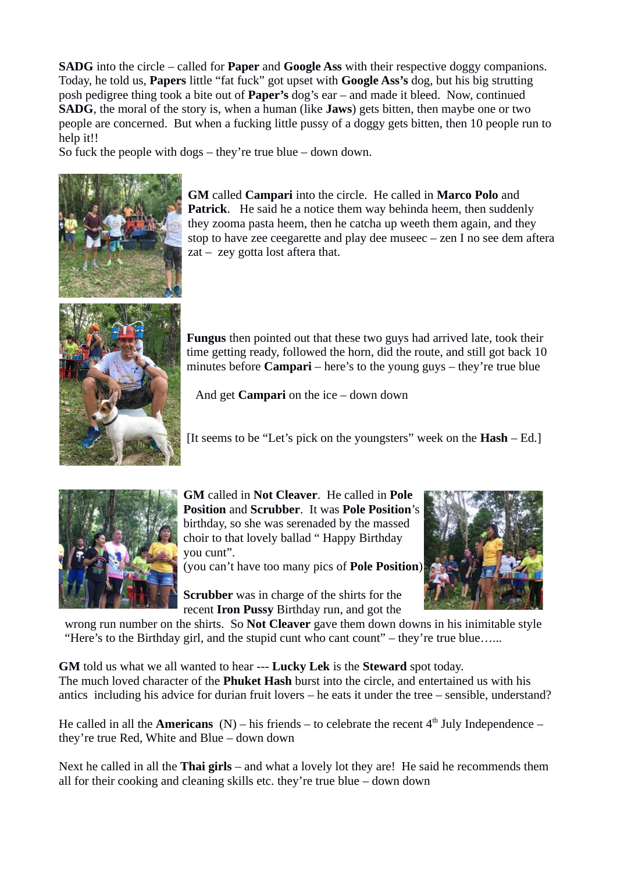**SADG** into the circle – called for **Paper** and **Google Ass** with their respective doggy companions. Today, he told us, **Papers** little "fat fuck" got upset with **Google Ass's** dog, but his big strutting posh pedigree thing took a bite out of **Paper's** dog's ear – and made it bleed. Now, continued **SADG**, the moral of the story is, when a human (like **Jaws**) gets bitten, then maybe one or two people are concerned. But when a fucking little pussy of a doggy gets bitten, then 10 people run to help it!!

So fuck the people with dogs – they're true blue – down down.



**GM** called **Campari** into the circle. He called in **Marco Polo** and Patrick. He said he a notice them way behinda heem, then suddenly they zooma pasta heem, then he catcha up weeth them again, and they stop to have zee ceegarette and play dee museec – zen I no see dem aftera  $zat - zey$  gotta lost aftera that.



**Fungus** then pointed out that these two guys had arrived late, took their time getting ready, followed the horn, did the route, and still got back 10 minutes before **Campari** – here's to the young guys – they're true blue

And get **Campari** on the ice – down down

[It seems to be "Let's pick on the youngsters" week on the **Hash** – Ed.]



**GM** called in **Not Cleaver**. He called in **Pole Position** and **Scrubber**. It was **Pole Position**'s birthday, so she was serenaded by the massed choir to that lovely ballad " Happy Birthday you cunt".

(you can't have too many pics of **Pole Position**)

**Scrubber** was in charge of the shirts for the recent **Iron Pussy** Birthday run, and got the



wrong run number on the shirts. So **Not Cleaver** gave them down downs in his inimitable style "Here's to the Birthday girl, and the stupid cunt who cant count" – they're true blue…...

**GM** told us what we all wanted to hear --- **Lucky Lek** is the **Steward** spot today. The much loved character of the **Phuket Hash** burst into the circle, and entertained us with his antics including his advice for durian fruit lovers – he eats it under the tree – sensible, understand?

He called in all the **Americans** (N) – his friends – to celebrate the recent  $4<sup>th</sup>$  July Independence – they're true Red, White and Blue – down down

Next he called in all the **Thai girls** – and what a lovely lot they are! He said he recommends them all for their cooking and cleaning skills etc. they're true blue – down down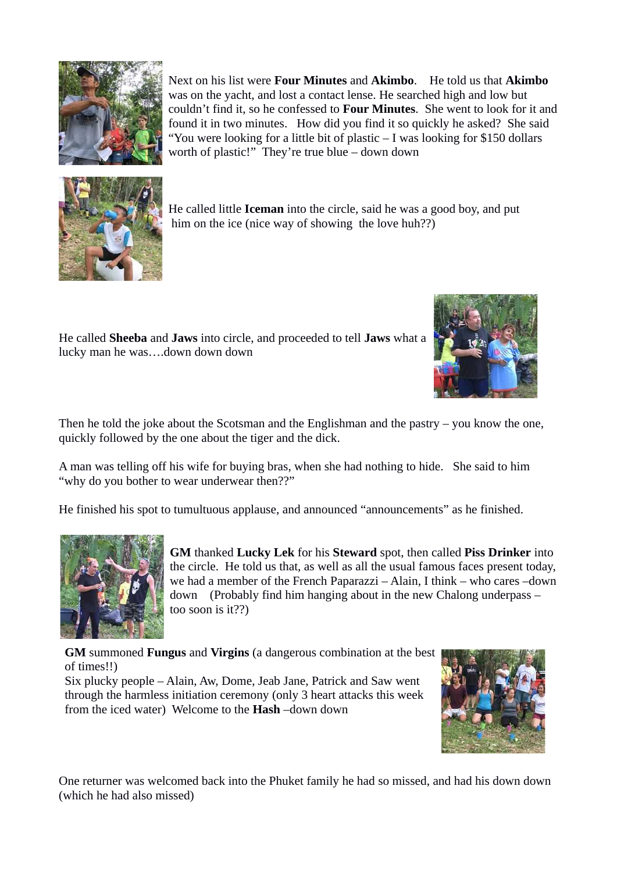

Next on his list were **Four Minutes** and **Akimbo**. He told us that **Akimbo** was on the yacht, and lost a contact lense. He searched high and low but couldn't find it, so he confessed to **Four Minutes**. She went to look for it and found it in two minutes. How did you find it so quickly he asked? She said "You were looking for a little bit of plastic  $-1$  was looking for \$150 dollars worth of plastic!" They're true blue – down down



He called little **Iceman** into the circle, said he was a good boy, and put him on the ice (nice way of showing the love huh??)

He called **Sheeba** and **Jaws** into circle, and proceeded to tell **Jaws** what a lucky man he was….down down down



Then he told the joke about the Scotsman and the Englishman and the pastry – you know the one, quickly followed by the one about the tiger and the dick.

A man was telling off his wife for buying bras, when she had nothing to hide. She said to him "why do you bother to wear underwear then??"

He finished his spot to tumultuous applause, and announced "announcements" as he finished.



**GM** thanked **Lucky Lek** for his **Steward** spot, then called **Piss Drinker** into the circle. He told us that, as well as all the usual famous faces present today, we had a member of the French Paparazzi – Alain, I think – who cares –down down (Probably find him hanging about in the new Chalong underpass – too soon is it??)

**GM** summoned **Fungus** and **Virgins** (a dangerous combination at the best of times!!)

Six plucky people – Alain, Aw, Dome, Jeab Jane, Patrick and Saw went through the harmless initiation ceremony (only 3 heart attacks this week from the iced water) Welcome to the **Hash** –down down



One returner was welcomed back into the Phuket family he had so missed, and had his down down (which he had also missed)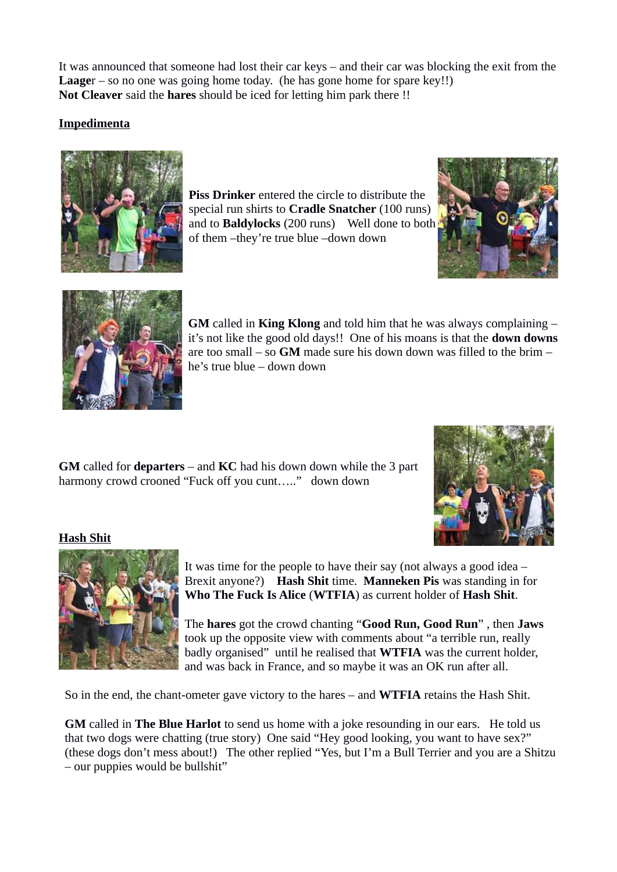It was announced that someone had lost their car keys – and their car was blocking the exit from the **Laage**r – so no one was going home today. (he has gone home for spare key!!) **Not Cleaver** said the **hares** should be iced for letting him park there !!

## **Impedimenta**



**Piss Drinker** entered the circle to distribute the special run shirts to **Cradle Snatcher** (100 runs) and to **Baldylocks** (200 runs) Well done to both of them –they're true blue –down down





**GM** called in **King Klong** and told him that he was always complaining – it's not like the good old days!! One of his moans is that the **down downs** are too small – so **GM** made sure his down down was filled to the brim – he's true blue – down down

**GM** called for **departers** – and **KC** had his down down while the 3 part harmony crowd crooned "Fuck off you cunt....." down down



#### **Hash Shit**



It was time for the people to have their say (not always a good idea – Brexit anyone?) **Hash Shit** time. **Manneken Pis** was standing in for **Who The Fuck Is Alice** (**WTFIA**) as current holder of **Hash Shit**.

The **hares** got the crowd chanting "**Good Run, Good Run**" , then **Jaws** took up the opposite view with comments about "a terrible run, really badly organised" until he realised that **WTFIA** was the current holder, and was back in France, and so maybe it was an OK run after all.

So in the end, the chant-ometer gave victory to the hares – and **WTFIA** retains the Hash Shit.

**GM** called in **The Blue Harlot** to send us home with a joke resounding in our ears. He told us that two dogs were chatting (true story) One said "Hey good looking, you want to have sex?" (these dogs don't mess about!) The other replied "Yes, but I'm a Bull Terrier and you are a Shitzu – our puppies would be bullshit"